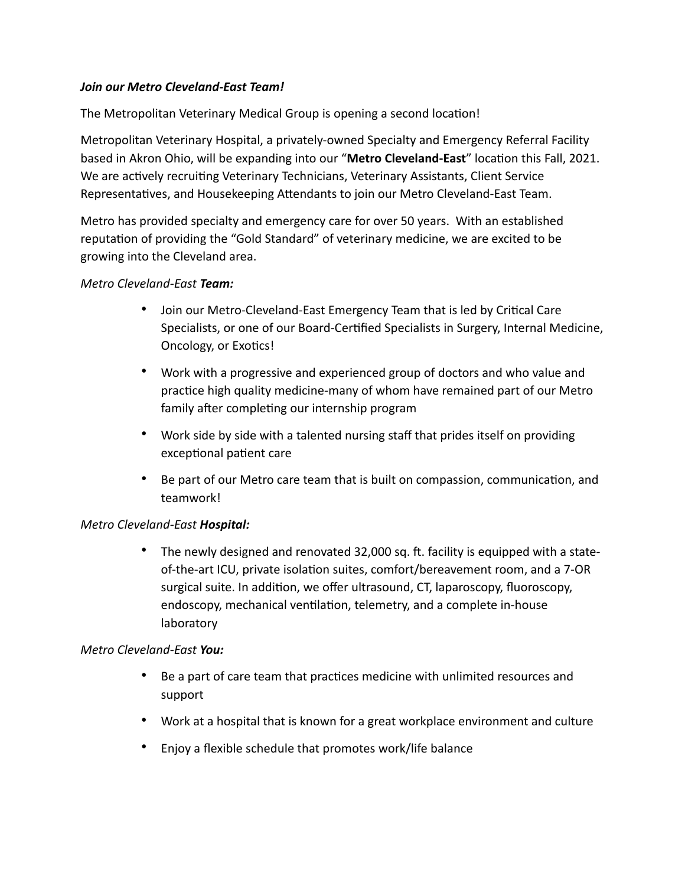# *Join our Metro Cleveland-East Team!*

The Metropolitan Veterinary Medical Group is opening a second location!

Metropolitan Veterinary Hospital, a privately-owned Specialty and Emergency Referral Facility based in Akron Ohio, will be expanding into our "**Metro Cleveland-East**" location this Fall, 2021. We are actively recruiting Veterinary Technicians, Veterinary Assistants, Client Service Representatives, and Housekeeping Attendants to join our Metro Cleveland-East Team.

Metro has provided specialty and emergency care for over 50 years. With an established reputation of providing the "Gold Standard" of veterinary medicine, we are excited to be growing into the Cleveland area.

# *Metro Cleveland-East Team:*

- Join our Metro-Cleveland-East Emergency Team that is led by Critical Care Specialists, or one of our Board-Certified Specialists in Surgery, Internal Medicine, Oncology, or Exotics!
- Work with a progressive and experienced group of doctors and who value and practice high quality medicine-many of whom have remained part of our Metro family after completing our internship program
- Work side by side with a talented nursing staff that prides itself on providing exceptional patient care
- Be part of our Metro care team that is built on compassion, communication, and teamwork!

# *Metro Cleveland-East Hospital:*

• The newly designed and renovated 32,000 sq. ft. facility is equipped with a stateof-the-art ICU, private isolation suites, comfort/bereavement room, and a 7-OR surgical suite. In addition, we offer ultrasound, CT, laparoscopy, fluoroscopy, endoscopy, mechanical ventilation, telemetry, and a complete in-house laboratory

# *Metro Cleveland-East You:*

- Be a part of care team that practices medicine with unlimited resources and support
- Work at a hospital that is known for a great workplace environment and culture
- Enjoy a flexible schedule that promotes work/life balance